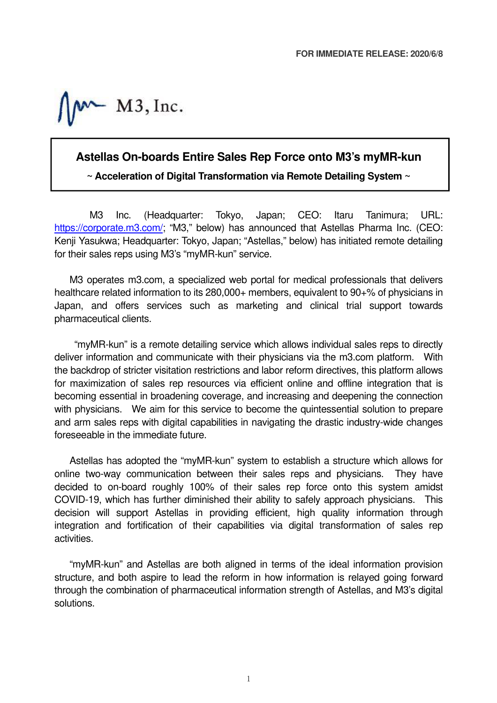$M3$ , Inc.

## **Astellas On-boards Entire Sales Rep Force onto M3's myMR-kun**

**~ Acceleration of Digital Transformation via Remote Detailing System ~** 

M3 Inc. (Headquarter: Tokyo, Japan; CEO: Itaru Tanimura; URL: https://corporate.m3.com/; "M3," below) has announced that Astellas Pharma Inc. (CEO: Kenji Yasukwa; Headquarter: Tokyo, Japan; "Astellas," below) has initiated remote detailing for their sales reps using M3's "myMR-kun" service.

M3 operates m3.com, a specialized web portal for medical professionals that delivers healthcare related information to its 280,000+ members, equivalent to 90+% of physicians in Japan, and offers services such as marketing and clinical trial support towards pharmaceutical clients.

 "myMR-kun" is a remote detailing service which allows individual sales reps to directly deliver information and communicate with their physicians via the m3.com platform. With the backdrop of stricter visitation restrictions and labor reform directives, this platform allows for maximization of sales rep resources via efficient online and offline integration that is becoming essential in broadening coverage, and increasing and deepening the connection with physicians. We aim for this service to become the quintessential solution to prepare and arm sales reps with digital capabilities in navigating the drastic industry-wide changes foreseeable in the immediate future.

Astellas has adopted the "myMR-kun" system to establish a structure which allows for online two-way communication between their sales reps and physicians. They have decided to on-board roughly 100% of their sales rep force onto this system amidst COVID-19, which has further diminished their ability to safely approach physicians. This decision will support Astellas in providing efficient, high quality information through integration and fortification of their capabilities via digital transformation of sales rep activities.

"myMR-kun" and Astellas are both aligned in terms of the ideal information provision structure, and both aspire to lead the reform in how information is relayed going forward through the combination of pharmaceutical information strength of Astellas, and M3's digital solutions.